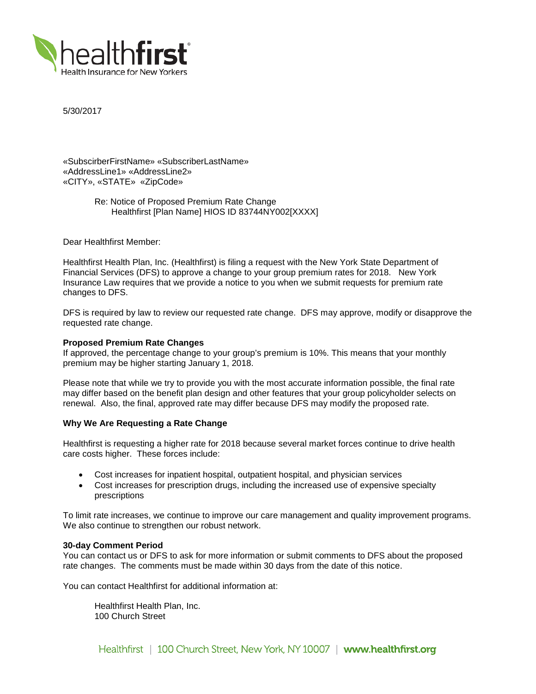

5/30/2017

«SubscirberFirstName» «SubscriberLastName» «AddressLine1» «AddressLine2» «CITY», «STATE» «ZipCode»

> Re: Notice of Proposed Premium Rate Change Healthfirst [Plan Name] HIOS ID 83744NY002[XXXX]

Dear Healthfirst Member:

Healthfirst Health Plan, Inc. (Healthfirst) is filing a request with the New York State Department of Financial Services (DFS) to approve a change to your group premium rates for 2018. New York Insurance Law requires that we provide a notice to you when we submit requests for premium rate changes to DFS.

DFS is required by law to review our requested rate change. DFS may approve, modify or disapprove the requested rate change.

## **Proposed Premium Rate Changes**

If approved, the percentage change to your group's premium is 10%. This means that your monthly premium may be higher starting January 1, 2018.

Please note that while we try to provide you with the most accurate information possible, the final rate may differ based on the benefit plan design and other features that your group policyholder selects on renewal. Also, the final, approved rate may differ because DFS may modify the proposed rate.

### **Why We Are Requesting a Rate Change**

Healthfirst is requesting a higher rate for 2018 because several market forces continue to drive health care costs higher. These forces include:

- Cost increases for inpatient hospital, outpatient hospital, and physician services
- Cost increases for prescription drugs, including the increased use of expensive specialty prescriptions

To limit rate increases, we continue to improve our care management and quality improvement programs. We also continue to strengthen our robust network.

#### **30-day Comment Period**

You can contact us or DFS to ask for more information or submit comments to DFS about the proposed rate changes. The comments must be made within 30 days from the date of this notice.

You can contact Healthfirst for additional information at:

Healthfirst Health Plan, Inc. 100 Church Street